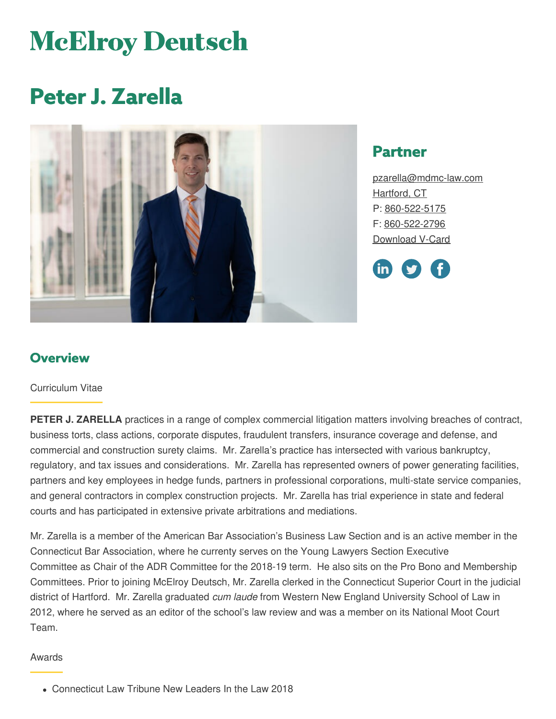# **McElroy Deutsch**

# **Peter J. Zarella**



## **Partner**

[pzarella@mdmc-law.com](mailto:pzarella@mdmc-law.com) [Hartford,](https://www.mdmc-law.com/offices/hartford) CT P: [860-522-5175](tel:860-522-5175) F: [860-522-2796](tel:860-522-2796) [Download](https://www.mdmc-law.com/node/400/vcard) V-Card



#### **Overview**

#### Curriculum Vitae

**PETER J. ZARELLA** practices in a range of complex commercial litigation matters involving breaches of contract, business torts, class actions, corporate disputes, fraudulent transfers, insurance coverage and defense, and commercial and construction surety claims. Mr. Zarella's practice has intersected with various bankruptcy, regulatory, and tax issues and considerations. Mr. Zarella has represented owners of power generating facilities, partners and key employees in hedge funds, partners in professional corporations, multi-state service companies, and general contractors in complex construction projects. Mr. Zarella has trial experience in state and federal courts and has participated in extensive private arbitrations and mediations.

Mr. Zarella is a member of the American Bar Association's Business Law Section and is an active member in the Connecticut Bar Association, where he currenty serves on the Young Lawyers Section Executive Committee as Chair of the ADR Committee for the 2018-19 term. He also sits on the Pro Bono and Membership Committees. Prior to joining McElroy Deutsch, Mr. Zarella clerked in the Connecticut Superior Court in the judicial district of Hartford. Mr. Zarella graduated *cum laude* from Western New England University School of Law in 2012, where he served as an editor of the school's law review and was a member on its National Moot Court Team.

#### Awards

Connecticut Law Tribune New Leaders In the Law 2018